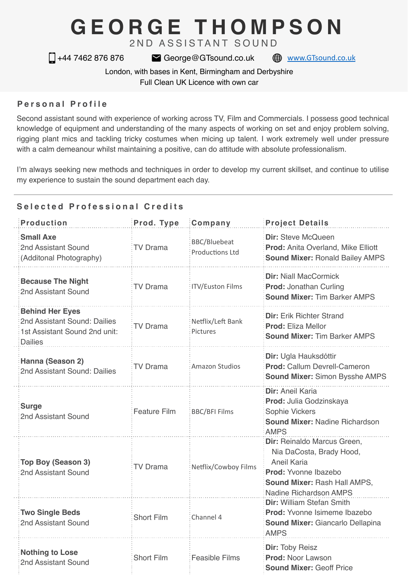# **GEORGE THOMPSON**

2ND ASSISTANT SOUND

□ +44 7462 876 876 <br>
■ +44 7462 876 876 <br>
■ George@GTsound.co.uk ● [www.GTsound.co.uk](http://www.GTsound.co.uk)

London, with bases in Kent, Birmingham and Derbyshire

Full Clean UK Licence with own car

## **Personal Profile**

Second assistant sound with experience of working across TV, Film and Commercials. I possess good technical knowledge of equipment and understanding of the many aspects of working on set and enjoy problem solving, rigging plant mics and tackling tricky costumes when micing up talent. I work extremely well under pressure with a calm demeanour whilst maintaining a positive, can do attitude with absolute professionalism.

I'm always seeking new methods and techniques in order to develop my current skillset, and continue to utilise my experience to sustain the sound department each day.

# **Selected Professional Credits**

| <b>Production</b>                                                                                         | Prod. Type          | Company                                       | <b>Project Details</b>                                                                                                                                          |
|-----------------------------------------------------------------------------------------------------------|---------------------|-----------------------------------------------|-----------------------------------------------------------------------------------------------------------------------------------------------------------------|
| <b>Small Axe</b><br>2nd Assistant Sound<br>(Additonal Photography)                                        | <b>TV Drama</b>     | <b>BBC/Bluebeat</b><br><b>Productions Ltd</b> | Dir: Steve McQueen<br>Prod: Anita Overland, Mike Elliott<br><b>Sound Mixer: Ronald Bailey AMPS</b>                                                              |
| <b>Because The Night</b><br>2nd Assistant Sound                                                           | <b>TV Drama</b>     | <b>ITV/Euston Films</b>                       | <b>Dir: Niall MacCormick</b><br><b>Prod: Jonathan Curling</b><br><b>Sound Mixer: Tim Barker AMPS</b>                                                            |
| <b>Behind Her Eyes</b><br>2nd Assistant Sound: Dailies<br>1st Assistant Sound 2nd unit:<br><b>Dailies</b> | <b>TV Drama</b>     | Netflix/Left Bank<br>Pictures                 | <b>Dir: Erik Richter Strand</b><br><b>Prod: Eliza Mellor</b><br><b>Sound Mixer: Tim Barker AMPS</b>                                                             |
| Hanna (Season 2)<br>2nd Assistant Sound: Dailies                                                          | <b>TV Drama</b>     | <b>Amazon Studios</b>                         | Dir: Ugla Hauksdóttir<br>Prod: Callum Devrell-Cameron<br><b>Sound Mixer: Simon Bysshe AMPS</b>                                                                  |
| <b>Surge</b><br>2nd Assistant Sound                                                                       | <b>Feature Film</b> | <b>BBC/BFI Films</b>                          | Dir: Aneil Karia<br>Prod: Julia Godzinskaya<br>Sophie Vickers<br><b>Sound Mixer: Nadine Richardson</b><br><b>AMPS</b>                                           |
| Top Boy (Season 3)<br>2nd Assistant Sound                                                                 | <b>TV Drama</b>     | Netflix/Cowboy Films                          | Dir: Reinaldo Marcus Green,<br>Nia DaCosta, Brady Hood,<br>Aneil Karia<br>Prod: Yvonne Ibazebo<br>Sound Mixer: Rash Hall AMPS,<br><b>Nadine Richardson AMPS</b> |
| <b>Two Single Beds</b><br>2nd Assistant Sound                                                             | <b>Short Film</b>   | Channel 4                                     | Dir: William Stefan Smith<br>Prod: Yvonne Isimeme Ibazebo<br><b>Sound Mixer: Giancarlo Dellapina</b><br><b>AMPS</b>                                             |
| <b>Nothing to Lose</b><br>2nd Assistant Sound                                                             | <b>Short Film</b>   | <b>Feasible Films</b>                         | <b>Dir: Toby Reisz</b><br><b>Prod: Noor Lawson</b><br><b>Sound Mixer: Geoff Price</b>                                                                           |